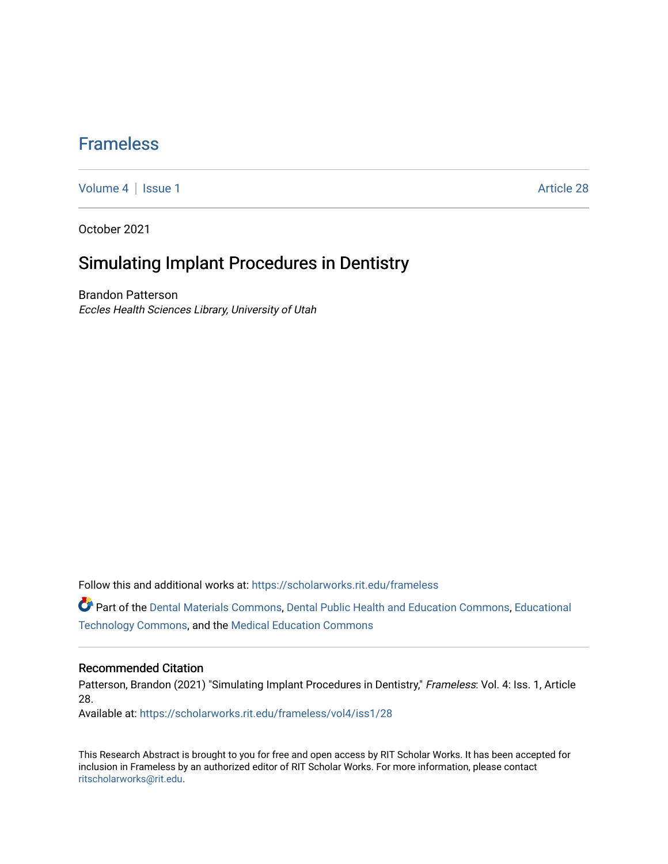## [Frameless](https://scholarworks.rit.edu/frameless)

[Volume 4](https://scholarworks.rit.edu/frameless/vol4) | [Issue 1](https://scholarworks.rit.edu/frameless/vol4/iss1) Article 28

October 2021

## Simulating Implant Procedures in Dentistry

Brandon Patterson Eccles Health Sciences Library, University of Utah

Follow this and additional works at: [https://scholarworks.rit.edu/frameless](https://scholarworks.rit.edu/frameless?utm_source=scholarworks.rit.edu%2Fframeless%2Fvol4%2Fiss1%2F28&utm_medium=PDF&utm_campaign=PDFCoverPages)

Part of the [Dental Materials Commons](https://network.bepress.com/hgg/discipline/654?utm_source=scholarworks.rit.edu%2Fframeless%2Fvol4%2Fiss1%2F28&utm_medium=PDF&utm_campaign=PDFCoverPages), [Dental Public Health and Education Commons](https://network.bepress.com/hgg/discipline/653?utm_source=scholarworks.rit.edu%2Fframeless%2Fvol4%2Fiss1%2F28&utm_medium=PDF&utm_campaign=PDFCoverPages), [Educational](https://network.bepress.com/hgg/discipline/1415?utm_source=scholarworks.rit.edu%2Fframeless%2Fvol4%2Fiss1%2F28&utm_medium=PDF&utm_campaign=PDFCoverPages)  [Technology Commons,](https://network.bepress.com/hgg/discipline/1415?utm_source=scholarworks.rit.edu%2Fframeless%2Fvol4%2Fiss1%2F28&utm_medium=PDF&utm_campaign=PDFCoverPages) and the [Medical Education Commons](https://network.bepress.com/hgg/discipline/1125?utm_source=scholarworks.rit.edu%2Fframeless%2Fvol4%2Fiss1%2F28&utm_medium=PDF&utm_campaign=PDFCoverPages)

#### Recommended Citation

Patterson, Brandon (2021) "Simulating Implant Procedures in Dentistry," Frameless: Vol. 4: Iss. 1, Article 28.

Available at: [https://scholarworks.rit.edu/frameless/vol4/iss1/28](https://scholarworks.rit.edu/frameless/vol4/iss1/28?utm_source=scholarworks.rit.edu%2Fframeless%2Fvol4%2Fiss1%2F28&utm_medium=PDF&utm_campaign=PDFCoverPages) 

This Research Abstract is brought to you for free and open access by RIT Scholar Works. It has been accepted for inclusion in Frameless by an authorized editor of RIT Scholar Works. For more information, please contact [ritscholarworks@rit.edu](mailto:ritscholarworks@rit.edu).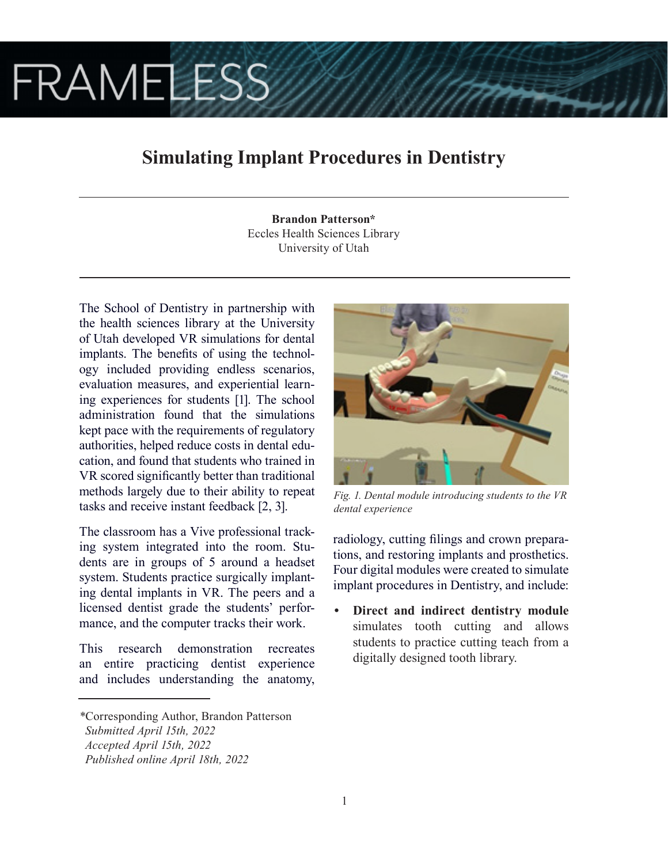# **FRAMELESS**

# **Simulating Implant Procedures in Dentistry**

**Brandon Patterson\*** Eccles Health Sciences Library University of Utah

The School of Dentistry in partnership with the health sciences library at the University of Utah developed VR simulations for dental implants. The benefits of using the technology included providing endless scenarios, evaluation measures, and experiential learning experiences for students [1]. The school administration found that the simulations kept pace with the requirements of regulatory authorities, helped reduce costs in dental education, and found that students who trained in VR scored significantly better than traditional methods largely due to their ability to repeat tasks and receive instant feedback [2, 3].

The classroom has a Vive professional tracking system integrated into the room. Students are in groups of 5 around a headset system. Students practice surgically implanting dental implants in VR. The peers and a licensed dentist grade the students' performance, and the computer tracks their work.

This research demonstration recreates an entire practicing dentist experience and includes understanding the anatomy,



*Fig. 1. Dental module introducing students to the VR dental experience*

radiology, cutting filings and crown preparations, and restoring implants and prosthetics. Four digital modules were created to simulate implant procedures in Dentistry, and include:

**• Direct and indirect dentistry module**  simulates tooth cutting and allows students to practice cutting teach from a digitally designed tooth library.

*<sup>\*</sup>*Corresponding Author, Brandon Patterson  *Submitted April 15th, 2022 Accepted April 15th, 2022*

*Published online April 18th, 2022*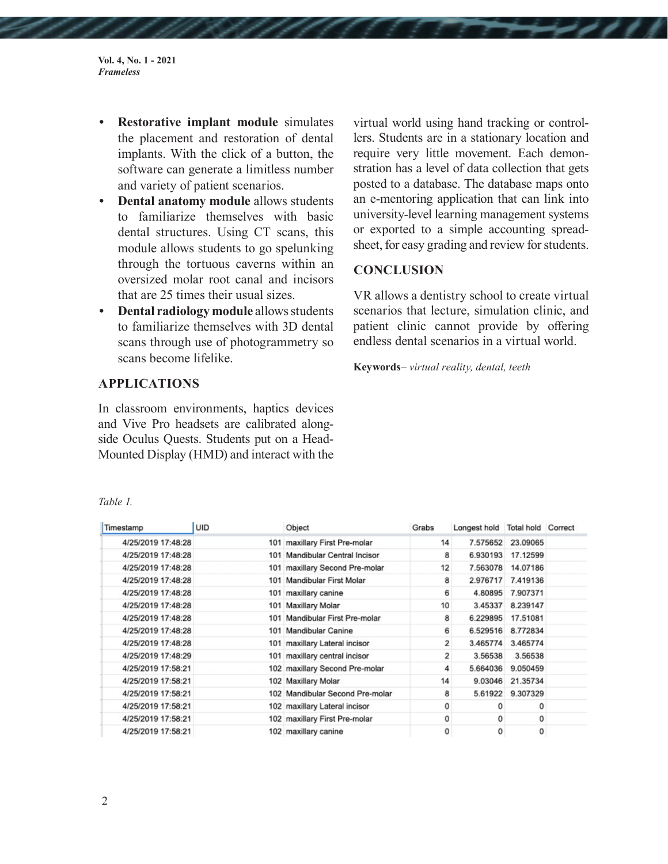**Vol. 4, No. 1 - 2021** *Frameless*

- **• Restorative implant module** simulates the placement and restoration of dental implants. With the click of a button, the software can generate a limitless number and variety of patient scenarios.
- **• Dental anatomy module** allows students to familiarize themselves with basic dental structures. Using CT scans, this module allows students to go spelunking through the tortuous caverns within an oversized molar root canal and incisors that are 25 times their usual sizes.
- **• Dental radiology module** allows students to familiarize themselves with 3D dental scans through use of photogrammetry so scans become lifelike.

virtual world using hand tracking or controllers. Students are in a stationary location and require very little movement. Each demonstration has a level of data collection that gets posted to a database. The database maps onto an e-mentoring application that can link into university-level learning management systems or exported to a simple accounting spreadsheet, for easy grading and review for students.

## **CONCLUSION**

VR allows a dentistry school to create virtual scenarios that lecture, simulation clinic, and patient clinic cannot provide by offering endless dental scenarios in a virtual world.

**Keywords**– *virtual reality, dental, teeth*

### **APPLICATIONS**

In classroom environments, haptics devices and Vive Pro headsets are calibrated alongside Oculus Quests. Students put on a Head-Mounted Display (HMD) and interact with the

| Timestamp          | UID | Object                          | Grabs          | Longest hold Total hold Correct |                   |  |
|--------------------|-----|---------------------------------|----------------|---------------------------------|-------------------|--|
| 4/25/2019 17:48:28 |     | 101 maxillary First Pre-molar   | 14             |                                 | 7.575652 23.09065 |  |
| 4/25/2019 17:48:28 | 101 | Mandibular Central Incisor      | 8              | 6.930193                        | 17.12599          |  |
| 4/25/2019 17:48:28 |     | 101 maxillary Second Pre-molar  | 12             | 7.563078                        | 14.07186          |  |
| 4/25/2019 17:48:28 | 101 | Mandibular First Molar          | 8              | 2.976717                        | 7.419136          |  |
| 4/25/2019 17:48:28 |     | 101 maxillary canine            | 6              | 4.80895                         | 7.907371          |  |
| 4/25/2019 17:48:28 |     | 101 Maxillary Molar             | 10             | 3.45337                         | 8.239147          |  |
| 4/25/2019 17:48:28 | 101 | Mandibular First Pre-molar      | 8              | 6.229895                        | 17.51081          |  |
| 4/25/2019 17:48:28 | 101 | Mandibular Canine               | 6              | 6.529516                        | 8.772834          |  |
| 4/25/2019 17:48:28 |     | 101 maxillary Lateral incisor   | $\overline{2}$ | 3.465774                        | 3.465774          |  |
| 4/25/2019 17:48:29 |     | 101 maxillary central incisor   | 2              | 3.56538                         | 3.56538           |  |
| 4/25/2019 17:58:21 |     | 102 maxillary Second Pre-molar  | 4              | 5.664036                        | 9.050459          |  |
| 4/25/2019 17:58:21 |     | 102 Maxillary Molar             | 14             | 9.03046                         | 21.35734          |  |
| 4/25/2019 17:58:21 |     | 102 Mandibular Second Pre-molar | 8              | 5.61922                         | 9.307329          |  |
| 4/25/2019 17:58:21 |     | 102 maxillary Lateral incisor   | 0              | ٥                               | 0                 |  |
| 4/25/2019 17:58:21 |     | 102 maxillary First Pre-molar   | 0              | 0                               | 0                 |  |
| 4/25/2019 17:58:21 |     | 102 maxillary canine            | 0              | 0                               | 0                 |  |

*Table 1.*